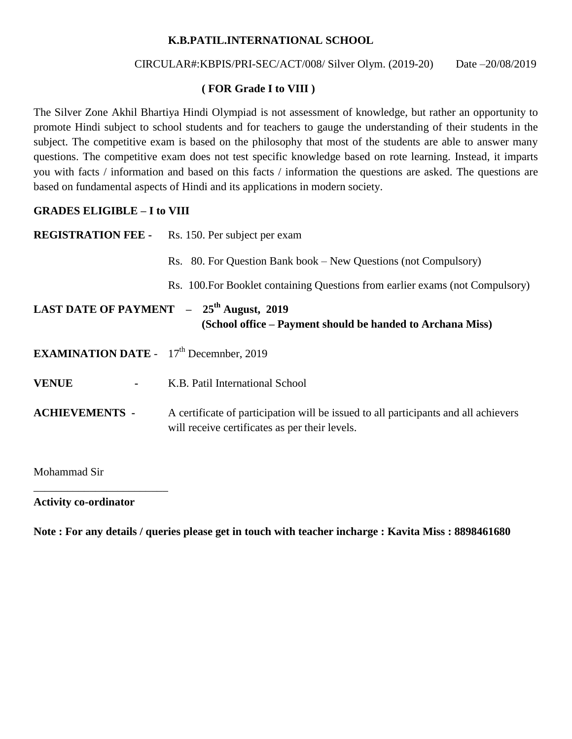# **K.B.PATIL.INTERNATIONAL SCHOOL**

### CIRCULAR#:KBPIS/PRI-SEC/ACT/008/ Silver Olym. (2019-20) Date –20/08/2019

# **( FOR Grade I to VIII )**

The Silver Zone Akhil Bhartiya Hindi Olympiad is not assessment of knowledge, but rather an opportunity to promote Hindi subject to school students and for teachers to gauge the understanding of their students in the subject. The competitive exam is based on the philosophy that most of the students are able to answer many questions. The competitive exam does not test specific knowledge based on rote learning. Instead, it imparts you with facts / information and based on this facts / information the questions are asked. The questions are based on fundamental aspects of Hindi and its applications in modern society.

# **GRADES ELIGIBLE – I to VIII**

|                                                                                                                    | <b>REGISTRATION FEE -</b> Rs. 150. Per subject per exam                                                                               |  |  |  |  |  |
|--------------------------------------------------------------------------------------------------------------------|---------------------------------------------------------------------------------------------------------------------------------------|--|--|--|--|--|
|                                                                                                                    | Rs. 80. For Question Bank book – New Questions (not Compulsory)                                                                       |  |  |  |  |  |
|                                                                                                                    | Rs. 100. For Booklet containing Questions from earlier exams (not Compulsory)                                                         |  |  |  |  |  |
| LAST DATE OF PAYMENT - 25 <sup>th</sup> August, 2019<br>(School office – Payment should be handed to Archana Miss) |                                                                                                                                       |  |  |  |  |  |
| <b>EXAMINATION DATE</b> - $17th$ December, 2019                                                                    |                                                                                                                                       |  |  |  |  |  |
| <b>VENUE</b><br>$\blacksquare$                                                                                     | K.B. Patil International School                                                                                                       |  |  |  |  |  |
| <b>ACHIEVEMENTS -</b>                                                                                              | A certificate of participation will be issued to all participants and all achievers<br>will receive certificates as per their levels. |  |  |  |  |  |

Mohammad Sir

#### **Activity co-ordinator**

\_\_\_\_\_\_\_\_\_\_\_\_\_\_\_\_\_\_\_\_\_\_\_\_

**Note : For any details / queries please get in touch with teacher incharge : Kavita Miss : 8898461680**